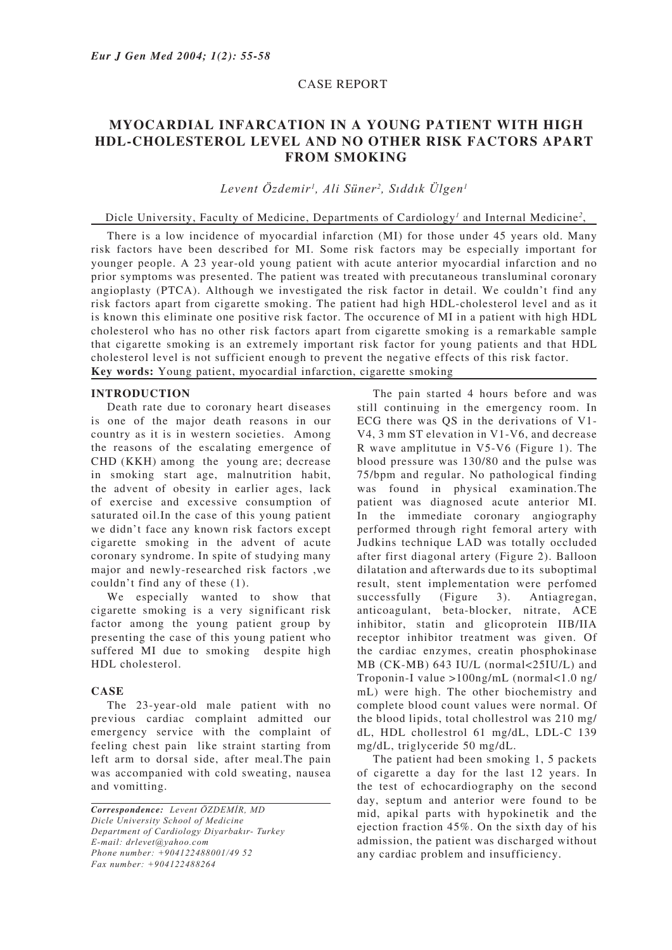## CASE REPORT

# **MYOCARDIAL INFARCATION IN A YOUNG PATIENT WITH HIGH HDL-CHOLESTEROL LEVEL AND NO OTHER RISK FACTORS APART FROM SMOKING**

*Levent Özdemir1 , Ali Süner2 , Sıddık Ülgen1*

## Dicle University, Faculty of Medicine, Departments of Cardiology<sup>1</sup> and Internal Medicine<sup>2</sup>,

There is a low incidence of myocardial infarction (MI) for those under 45 years old. Many risk factors have been described for MI. Some risk factors may be especially important for younger people. A 23 year-old young patient with acute anterior myocardial infarction and no prior symptoms was presented. The patient was treated with precutaneous transluminal coronary angioplasty (PTCA). Although we investigated the risk factor in detail. We couldn't find any risk factors apart from cigarette smoking. The patient had high HDL-cholesterol level and as it is known this eliminate one positive risk factor. The occurence of MI in a patient with high HDL cholesterol who has no other risk factors apart from cigarette smoking is a remarkable sample that cigarette smoking is an extremely important risk factor for young patients and that HDL cholesterol level is not sufficient enough to prevent the negative effects of this risk factor. **Key words:** Young patient, myocardial infarction, cigarette smoking

#### **INTRODUCTION**

Death rate due to coronary heart diseases is one of the major death reasons in our country as it is in western societies. Among the reasons of the escalating emergence of CHD (KKH) among the young are; decrease in smoking start age, malnutrition habit, the advent of obesity in earlier ages, lack of exercise and excessive consumption of saturated oil.In the case of this young patient we didn't face any known risk factors except cigarette smoking in the advent of acute coronary syndrome. In spite of studying many major and newly-researched risk factors ,we couldn't find any of these (1).

We especially wanted to show that cigarette smoking is a very significant risk factor among the young patient group by presenting the case of this young patient who suffered MI due to smoking despite high HDL cholesterol.

## **CASE**

The 23-year-old male patient with no previous cardiac complaint admitted our emergency service with the complaint of feeling chest pain like straint starting from left arm to dorsal side, after meal.The pain was accompanied with cold sweating, nausea and vomitting.

*Correspondence: Levent ÖZDEMİR, MD Dicle University School of Medicine Department of Cardiology Diyarbakır- Turkey E-mail: drlevet@yahoo.com Phone number: +904122488001/49 52 Fax number: +904122488264*

The pain started 4 hours before and was still continuing in the emergency room. In ECG there was QS in the derivations of V1- V4, 3 mm ST elevation in V1-V6, and decrease R wave amplitutue in V5-V6 (Figure 1). The blood pressure was 130/80 and the pulse was 75/bpm and regular. No pathological finding was found in physical examination.The patient was diagnosed acute anterior MI. In the immediate coronary angiography performed through right femoral artery with Judkins technique LAD was totally occluded after first diagonal artery (Figure 2). Balloon dilatation and afterwards due to its suboptimal result, stent implementation were perfomed successfully (Figure 3). Antiagregan, anticoagulant, beta-blocker, nitrate, ACE inhibitor, statin and glicoprotein IIB/IIA receptor inhibitor treatment was given. Of the cardiac enzymes, creatin phosphokinase MB (CK-MB) 643 IU/L (normal<25IU/L) and Troponin-I value >100ng/mL (normal<1.0 ng/ mL) were high. The other biochemistry and complete blood count values were normal. Of the blood lipids, total chollestrol was 210 mg/ dL, HDL chollestrol 61 mg/dL, LDL-C 139 mg/dL, triglyceride 50 mg/dL.

The patient had been smoking 1, 5 packets of cigarette a day for the last 12 years. In the test of echocardiography on the second day, septum and anterior were found to be mid, apikal parts with hypokinetik and the ejection fraction 45%. On the sixth day of his admission, the patient was discharged without any cardiac problem and insufficiency.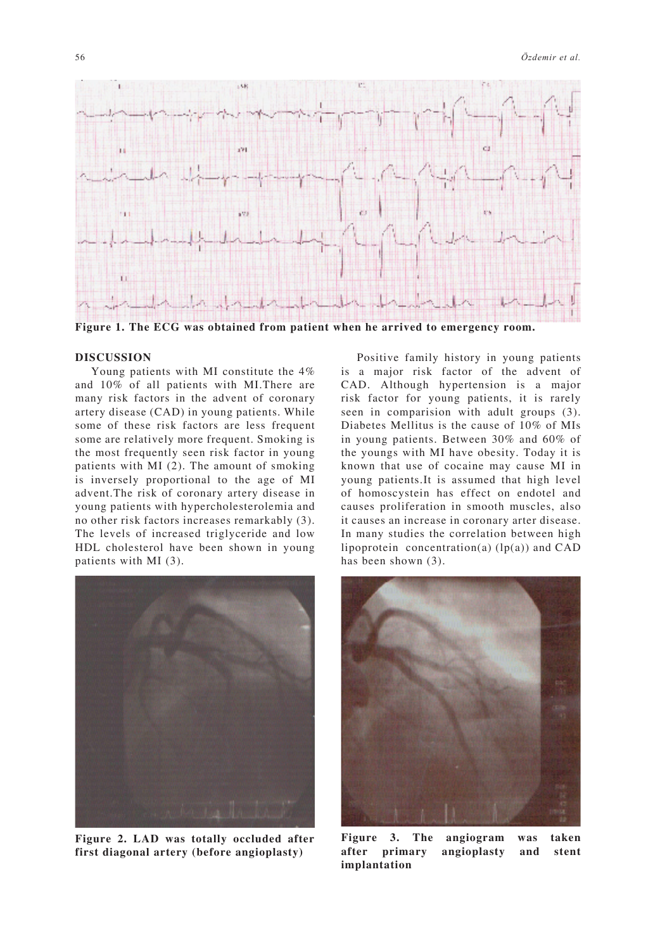

**Figure 1. The ECG was obtained from patient when he arrived to emergency room.**

#### **DISCUSSION**

Young patients with MI constitute the 4% and 10% of all patients with MI.There are many risk factors in the advent of coronary artery disease (CAD) in young patients. While some of these risk factors are less frequent some are relatively more frequent. Smoking is the most frequently seen risk factor in young patients with MI (2). The amount of smoking is inversely proportional to the age of MI advent.The risk of coronary artery disease in young patients with hypercholesterolemia and no other risk factors increases remarkably (3). The levels of increased triglyceride and low HDL cholesterol have been shown in young patients with MI (3).



**Figure 2. LAD was totally occluded after first diagonal artery (before angioplasty)**

Positive family history in young patients is a major risk factor of the advent of CAD. Although hypertension is a major risk factor for young patients, it is rarely seen in comparision with adult groups (3). Diabetes Mellitus is the cause of 10% of MIs in young patients. Between 30% and 60% of the youngs with MI have obesity. Today it is known that use of cocaine may cause MI in young patients.It is assumed that high level of homoscystein has effect on endotel and causes proliferation in smooth muscles, also it causes an increase in coronary arter disease. In many studies the correlation between high lipoprotein concentration(a)  $(lp(a))$  and CAD has been shown  $(3)$ .



**Figure 3. The angiogram was taken after primary angioplasty and stent implantation**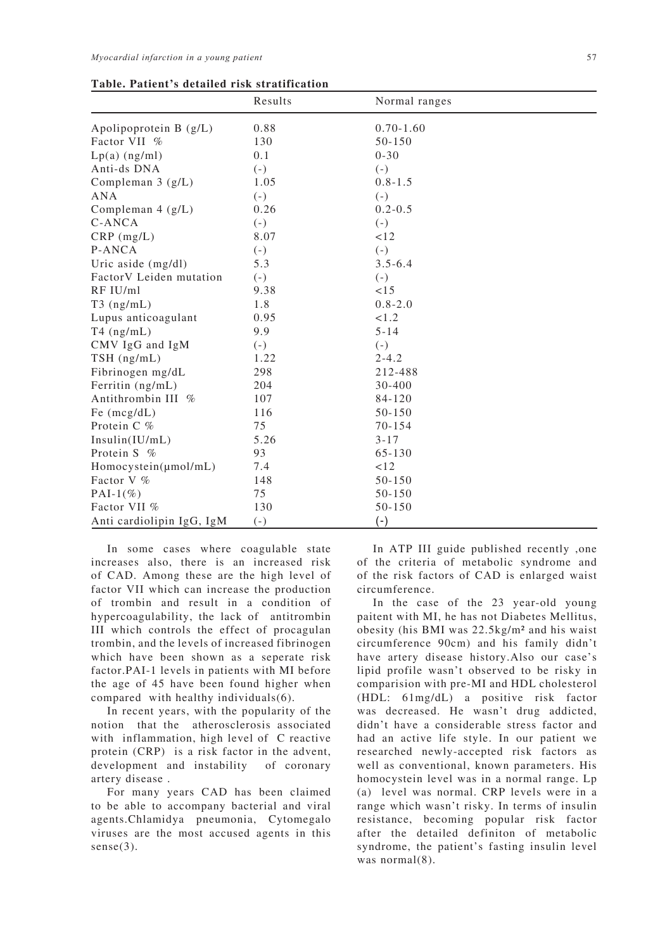|                           | Results | Normal ranges |  |
|---------------------------|---------|---------------|--|
| Apolipoprotein $B(g/L)$   | 0.88    | $0.70 - 1.60$ |  |
| Factor VII %              | 130     | $50 - 150$    |  |
| $Lp(a)$ (ng/ml)           | 0.1     | $0 - 30$      |  |
| Anti-ds DNA               | $(-)$   | $(-)$         |  |
| Compleman $3$ ( $g/L$ )   | 1.05    | $0.8 - 1.5$   |  |
| <b>ANA</b>                | $(-)$   | $(-)$         |  |
| Compleman $4$ (g/L)       | 0.26    | $0.2 - 0.5$   |  |
| C-ANCA                    | $(-)$   | $(-)$         |  |
| $CRP$ (mg/L)              | 8.07    | 12            |  |
| P-ANCA                    | $(-)$   | $(-)$         |  |
| Uric aside $(mg/dl)$      | 5.3     | $3.5 - 6.4$   |  |
| FactorV Leiden mutation   | $(-)$   | $(-)$         |  |
| RF IU/ml                  | 9.38    | <15           |  |
| $T3$ (ng/mL)              | 1.8     | $0.8 - 2.0$   |  |
| Lupus anticoagulant       | 0.95    | < 1.2         |  |
| $T4$ (ng/mL)              | 9.9     | $5 - 14$      |  |
| CMV IgG and IgM           | $(-)$   | $(-)$         |  |
| TSH (ng/mL)               | 1.22    | $2 - 4.2$     |  |
| Fibrinogen mg/dL          | 298     | 212-488       |  |
| Ferritin (ng/mL)          | 204     | 30-400        |  |
| Antithrombin III %        | 107     | 84-120        |  |
| Fe $(mcg/dL)$             | 116     | 50-150        |  |
| Protein C %               | 75      | $70 - 154$    |  |
| Insulin(IU/mL)            | 5.26    | $3 - 17$      |  |
| Protein S %               | 93      | $65 - 130$    |  |
| Homocystein(umol/mL)      | 7.4     | < 12          |  |
| Factor V %                | 148     | 50-150        |  |
| PAI-1 $(\% )$             | 75      | 50-150        |  |
| Factor VII %              | 130     | 50-150        |  |
| Anti cardiolipin IgG, IgM | $(-)$   | $(-)$         |  |

In some cases where coagulable state increases also, there is an increased risk of CAD. Among these are the high level of factor VII which can increase the production of trombin and result in a condition of hypercoagulability, the lack of antitrombin III which controls the effect of procagulan trombin, and the levels of increased fibrinogen which have been shown as a seperate risk factor.PAI-1 levels in patients with MI before the age of 45 have been found higher when compared with healthy individuals(6).

In recent years, with the popularity of the notion that the atherosclerosis associated with inflammation, high level of C reactive protein (CRP) is a risk factor in the advent, development and instability of coronary artery disease .

For many years CAD has been claimed to be able to accompany bacterial and viral agents.Chlamidya pneumonia, Cytomegalo viruses are the most accused agents in this sense(3).

In ATP III guide published recently ,one of the criteria of metabolic syndrome and of the risk factors of CAD is enlarged waist circumference.

In the case of the 23 year-old young paitent with MI, he has not Diabetes Mellitus, obesity (his BMI was 22.5kg/m² and his waist circumference 90cm) and his family didn't have artery disease history.Also our case's lipid profile wasn't observed to be risky in comparision with pre-MI and HDL cholesterol (HDL: 61mg/dL) a positive risk factor was decreased. He wasn't drug addicted, didn't have a considerable stress factor and had an active life style. In our patient we researched newly-accepted risk factors as well as conventional, known parameters. His homocystein level was in a normal range. Lp (a) level was normal. CRP levels were in a range which wasn't risky. In terms of insulin resistance, becoming popular risk factor after the detailed definiton of metabolic syndrome, the patient's fasting insulin level was normal(8).